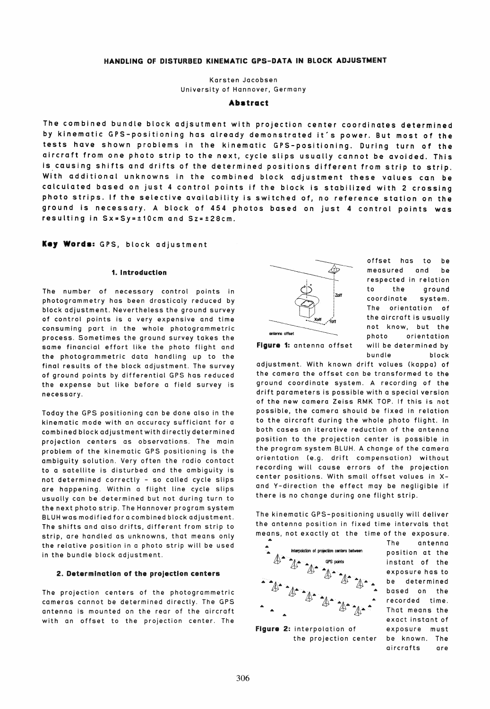# HANDLING OF DISTURBED KINEMATIC GPS-DATA IN BLOCK ADJUSTMENT

Karsten Jacobsen University of Hannover, Germany

#### **Abstract**

The combined bundle block adjsutment with projection center coordinates determined by kinematic GPS-positioning has already demonstrated it's power. But most of the tests have shown problems in the kinematic GPS-positioning. During turn of the aircraft trom one photo strip to the next, cycle slips usually cannot be avoided. This is causing shifts and drifts of the determined positions different from strip to strip. Wlth additional unknowns in the combined block adjustment these values can be calculated based on just 4 control points if the block is stabilized with 2 crossing photo strips. If the selective availability is switched of, no reference station on the ground is necessary. A block of 454 photos based on just 4 controt points was resulting in Sx=Sy=t10cm and Sz=t28cm.

# Key Words: GPS, block adjustment

### 1. Introduction

The number of necessary control points in photogrammetry has been drasticaly reduced by block adjustment. Nevertheless the ground survey of control points is a very expensive and time consuming part in the whole photogrammetric process. Sometimes the ground survey takes the same financial effort like the photo flight and the photogrammetric data handling up to the final results of the block adjustment. The survey of ground points by differential GPS has reduced the expense but like before a field survey is necessary.

Today the GPS positioning can be done also in the kinematic mode with an accuracy sufficiant for a combined block adjustment with directly determined projection centers os observations. The main problem of the kinematic GPS positioning is the ambiguity solution. Very often the radio contact to a satellite is disturbed and the ambiguity is not determined correctly - so called cycle slips are happening. Within a flight line cycle slips usually can be determined but not during turn to the next photo strip. The Hannover program system BLUH was modified for a combined block adjustment. The shifts and also drifts, different from strip to strip, are hondled as unknowns, that means only the relative position in a photo strip will be used in the bundle block adjustment.

#### 2. Determination of the projection centers

The projection centers of the photogrammetric cameras cannot be determined directly. The GPS antenna is mounted on the rear of the aircraft with an offset to the projection center. The



offset has to be measured and be respected in relation to the ground coordinate system. The orientation of the aircraft is usually not know, but the photo orientation will be determined by bundle block

adjustment. With known drift values (kappa) of the camera the offset can be transformed to the ground coordinate system. A recording of the drift parameters is possible with a special version of the new camera Zeiss RMK TOP. If this is not possible, the camera should be fixed in relation to the aircraft during the whole photo flight. In both cases an iterative reduction of the antenna position to the projection center is possible in the program system BLUH. A change of the camera orientation (e.g. drift compensation) without recording will cause errors of the projection center positions. With small offset values in Xand Y-direction the effect may be negligible if there is no change during one flight strip.

The kinemotic GPS-positioning usually will deliver the antenna position in fixed time intervals that means, not exactly at the time of the exposure.



Figure 2: interpolation of the projection center

The antenna position at the instant of the exposure has to be determined based on the recorded time. That means the exact instant of exposure must be known. The aircrafts are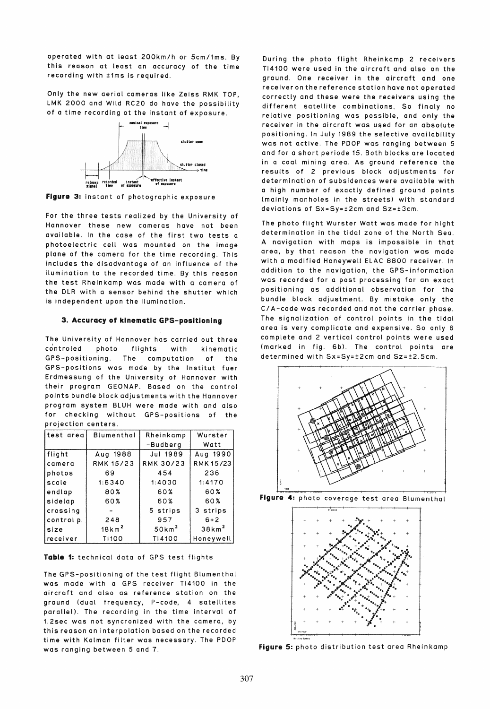operated with at least 200km/h or 5cm/1ms. By this reason at least an accuracy of the time recording with ±1ms is required.

Only the new aerial cameras like Zeiss RMK TOP, LMK 2000 and Wild RC20 do have the possibility of a time recording ot the instant of exposure.



Figure 3: instant of photographic exposure

For the three tests realized by the University of Hannover these new cameras have not been available. In the case of the first two tests a photoelectric cell was mounted on the image plane of the camera for the time recording. This includes the disadvantage of an influence of the ilumination to the recorded time. By this reason the test Rheinkamp was made with a camera of the DLR with a sensor behind the shutter which is independent upon the ilumination.

# 3. Accuracy of kinematic GPS-positioning

The University of Hannover has carried out three controled photo flights with kinematic GPS-positioning. The computation of the GPS-positions was made by the Institut fuer Erdmessung of the University of Hannover with their program GEONAP. Based on the control points bundle block adjustments with the Hannover program system BLUH were made with and also for checking without GPS-positions of the projection centers.

| test area  | Blumenthal         | Rheinkamp         | Wurster           |  |  |
|------------|--------------------|-------------------|-------------------|--|--|
|            |                    | -Budberg          | Watt              |  |  |
| flight     | Aug 1988           | <b>Jul 1989</b>   | Aug 1990          |  |  |
| camera     | <b>RMK 15/23</b>   | <b>RMK 30/23</b>  | RMK 15/23         |  |  |
| photos     | 69                 | 454               | 236               |  |  |
| scale      | 1.6340             | 1:4030            | 1:4170            |  |  |
| endlap     | 80%                | 60%               | 60%               |  |  |
| sidelap    | 60%                | 60%               | 60%               |  |  |
| crossing   |                    | 5 strips          | 3 strips          |  |  |
| control p. | 248                | 957               | $6 + 2$           |  |  |
| size       | $18 \mathrm{km}^2$ | 50km <sup>2</sup> | 38km <sup>2</sup> |  |  |
| receiver   | T1100              | T14100            | Honeywell         |  |  |

Table 1: technical data of GPS test flights

The GPS-positioning of the test flight Blumenthai was made with a GPS receiver TI4100 in the aircraft and also as reference station on the ground (dual frequency, P-code, 4 satellites parallel). The recording in the time interval of 1.2sec was not syncronized with the camera, by this reason an interpolation based on the recorded time with Kaiman filter was necessary. The PDOP was ranging between 5 and 7.

During the photo flight Rheinkamp 2 receivers TI4100 were used in the aircraft and also on the ground. One receiver in the aircraft and one receiver on the reference station have not operated correctly and these were the receivers using the different satellite combinations. So finaly no relative positioning was possible, and only the receiver in the aircraft was used for an absolute positioning. In July 1989 the selective availability was not active. The PDOP was ranging between 5 and for a short periode 15. Both blocks are located in a coal mining area. As ground reference the results of 2 previous block adjustments for determination of subsidences were available with a high number of exactiy defined ground points (mainly manholes in the streets) with standard deviations of Sx=Sy=±2cm and Sz=±3cm.

The photo flight Wurster Watt was made for hight determination in the tidal zone of the North Sea. A navigation with maps is impossible in that area, by that reason the navigation was made with a modified Honeywell ELAC 8800 receiver. In addition to the navigation, the GPS-information was recorded for a post processing for an exact positioning as additional observation for the bundle block adjustment. By mistake only the *CI* A-code was recorded and not the carrier phase. The signalization of control points in the tidal area is very complicate and expensive. So only 6 complete and 2 vertical control points were used (marked in fig. 6b). The control points are determined with Sx=Sy=±2cm and Sz=±2.5cm.



figura 4: photo coverage test area Blumenthai



Figure 5: photo distribution test area Rheinkamp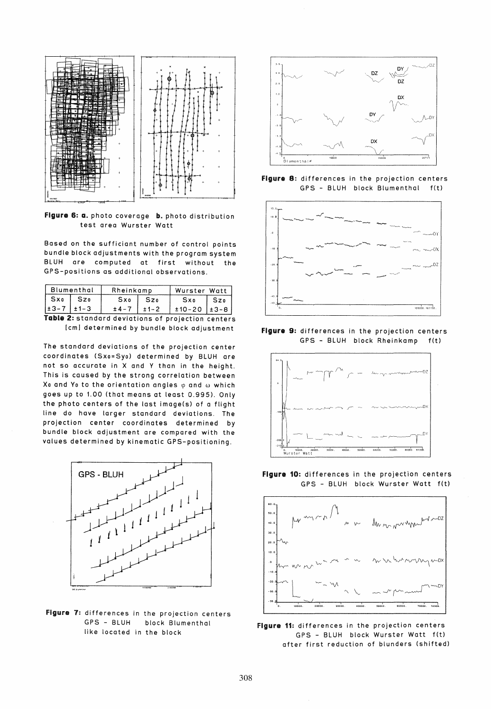

Figure 6: a. photo coverage b. photo distribution test area Wurster Watt

Based on the sufficiant number of control points bundle block adjustments with the program system BLUH are computed at first without the GPS-positions as additional observations.

| Blumenthal |  | Rheinkamp |      | Wurster Watt |      |  |
|------------|--|-----------|------|--------------|------|--|
| Sxo        |  | Sxo       | 57n  | Sxo          |      |  |
|            |  | $+ 4 -$   | +1-2 | $±10-20$     | +3-8 |  |

Table 2: standard deviations of projection centers [cml determined by bundle block adjustment

The standard deviations of the projection center coordinates (Sxo=Syo) determined by BLUH are not so accurate in X and Y than in the height. This is caused by the strong correlation between Xo and Yo to the orientation angles  $\varphi$  and  $\omega$  which goes up to 1.00 (that means at least 0.995), Only the photo centers of the last image(s) of a flight line do have larger standard deviations. The projection center coordinates determined by bundle block adjustment are compared with the values determined by kinematic GPS-positioning.



Figure 7: differences in the projection centers GPS - BLUH block Blumenthai like located in the block



Figure 8: differences in the projection centers GPS - BLUH block Blumenthai f(t)



Figure 9: differences in the projection centers GPS - BLUH block Rheinkamp f(t)



Figure 10: differences in the projection centers GPS - BLUH block Wurster Watt f(t)



Figure 11: differences in the projection centers GPS - BLUH block Wurster Watt f(t) after first reduction of blunders (shifted)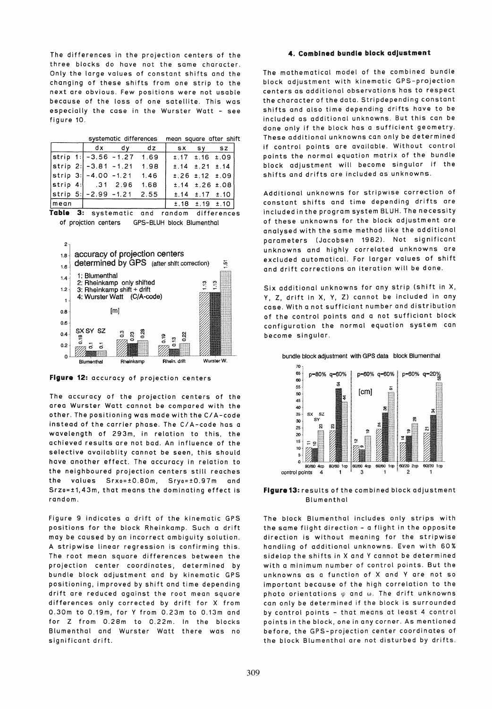The differences in the projection centers of the three blocks do have not the same character. Only the large values of constant shifts and the changing of these shifts from one strip to the next are obvious. Few positions were not usable because of the loss of one satellite. This was especially the case in the Wurster Watt - see figure 10.

|      | systematic differences mean square after shift |                             |      |  |                               |                               |  |
|------|------------------------------------------------|-----------------------------|------|--|-------------------------------|-------------------------------|--|
|      |                                                | dx dv                       | dz   |  | SX SY SZ                      |                               |  |
|      |                                                | strip 1:   -3.56 -1.27 1.69 |      |  |                               | $\pm .17$ $\pm .16$ $\pm .09$ |  |
|      | $\left  \text{strip } 2: \right  -3.81 -1.21$  |                             | 1.98 |  | $\pm .14$ $\pm .21$ $\pm .14$ |                               |  |
|      |                                                | strip 3: -4.00 -1.21 1.46   |      |  | $\pm$ .26 $\pm$ .12 $\pm$ .09 |                               |  |
|      | strip 4: .31 2.96                              |                             | 1.68 |  | $\pm .14$ $\pm .26$ $\pm .08$ |                               |  |
|      |                                                | strip 5: -2.99 -1.21 2.55   |      |  | $\pm .14$ $\pm .17$ $\pm .10$ |                               |  |
| mean |                                                |                             |      |  | $\pm .18$ $\pm .19$ $\pm .10$ |                               |  |

Table 3: systematic and random differences of projction centers GPS-BLUH block Blumenthai



Flgure 12: accuracy of projection centers

The accuracy of the projection centers of the area Wurster Watt cannot be compared with the other. The positioning was made with the *CI* A-code instead of the carrier phase. The C/A-code has a wavelength of 293m, in relation to this, the achieved results are not bad. An influence of the selective availablity cannot be seen, this should have another effect. The accuracy in relation to the neighboured projection centers still reaches the values Srxo=±0.80m, Sryo=±0.97m and Srzo=±1,43m, that means the dominating effect is random.

Figure 9 indicates a drift of the kinematic GPS positions for the block Rheinkamp. Such a drift may be caused by an incorrect ambiguity solution. A stripwise linear regression is confirming this. The root mean square differences between the projection center coordinates, determined by bundle block adjustment and by kinematic GPS positioning, improved by shift and time depending drift are reduced against the root mean square differences only corrected by drift for X from 0.30m to 0.19m, for Y from 0.23m to 0.13m and for Z from 0.28m to 0.22m. In the blocks Blumenthai and Wurster Watt there was no significant drift.

### 4. Combined bundle block adjustment

The mathematical model of the combined bundle block adjustment with kinematic GPS-projection centers as additional observations has to respect the character of the data. Stripdepending constant shifts and also time depending drifts have to be included as additional unknowns. But this can be done only if the block has a sufficient geometry. These additional unknowns can only be determined if control points are available. Without control points the normal equation matrix of the bundle block adjustment will become singular if the shifts and drifts are included os unknowns.

Additional unknowns for stripwise correction of constant shifts and time depending drifts are included in the program system BLUH. The necessity of these unknowns for the block adjustment are analysed with the same method like the additional parameters (Jacobsen 1982). Not significant unknowns and highly correlated unknowns are excluded automatical. For larger values of shift and drift corrections an iteration will be done.

Six additional unknowns for any strip (shift in X, V, Z, drift in X, V, Z) cannot be included in any case. With a not sufficiant number and distribution of the control points and a not sufficiant block configuration the normal equation system can become singular.



bundle block adjustment with GPS data block Blumenthai

Figure 13: results of the combined block adjustment **Blumenthal** 

The block Blumenthai includes only strips with the same flight direction - a flight in the opposite direction is without meaning for the stripwise handling of additional unknowns. Even with 60% sidelap the shifts in X and Y cannot be determined with a minimum number of control points. But the unknowns as a function of X and Y are not so important because of the high correlation to the photo orientations  $\varphi$  and  $\omega$ . The drift unknowns can only be determined if the block is surrounded by control points - that means at least 4 control points in the block, one in any corner. As mentioned before, the GPS-projection center coordinates of the block Blumenthai are not disturbed by drifts.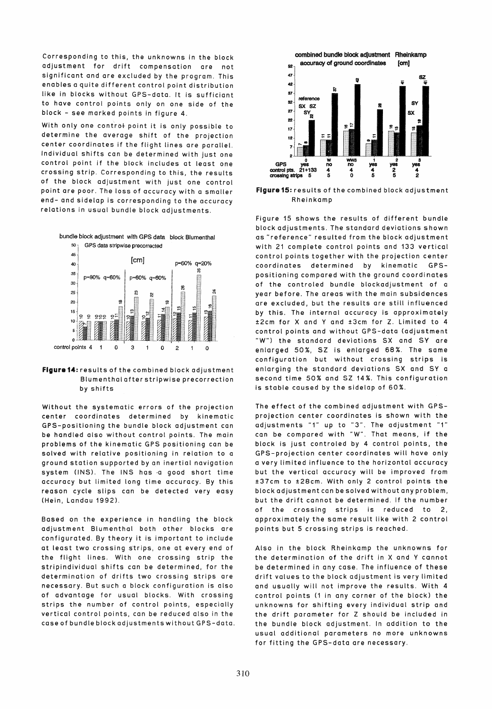Corresponding to this, the unknowns in the block adjustment for drift compensation are not significant and are excluded by the program. This enables a quite different control point distribution like in blocks without GPS-data. It is sufficiant to have control points only on one side of the block - see marked points in figure 4.

With only one controt point it is only possible to determine the average shift of the projection center coordinates if the flight lines are parallel. Individual shifts can be determined with just one control point if the block includes at least one crossing strip. Corresponding to this, the results of the block adjustment with just one control point are poor. The loss of accuracy with a smaller end- and sidelap is corresponding to the accuracy relations in usual bundle block adjustments.



## Flgura14: results of the combined block adjustment Blumenthai after stripwise precorrection by shifts

Without the systematic errors of the projection center coordinates determined by kinematic GPS-positioning the bundle block adjustment can be handled also without control points. The main problems of the kinematic GPS positioning can be solved with relative positioning in relation to a ground station supported by an inertial navigation system (INS). The INS has a good short time accuracy but limited long time accuracy. By this reason cycle slips can be detected very easy (Hein, Landau 1992),

Based on the experience in handling the block adjustment Blumenthai both other blocks are configurated. By theory it is important to include at least two crossing strips, one at every end of the flight lines. With one crossing strip the stripindividual shifts can be determined, for the determination of drifts two crossing strips are necessary. But such a block configuration is also of advantage for usual blocks. With crossing strips the number of control points, especially vertical control points, can be reduced also in the case of bundle block adjustments without GPS-data.



Flaure 15: results of the combined block adjustment Rheinkamp

Figure 15 shows the results of different bundle block adjustments. The standard deviations shown as "reference" resulted from the block adjustment with 21 complete control points and 133 vertical control points together with the projection center coordinates determined by kinematic GPSpositioning compared with the ground coordinates of the controled bundle blockadjustment of a year before. The areas with the main subsidences are excluded, but the results are still influenced by this. The internal accuracy is approximately ±2cm for X and V and ±3cm for Z. Limited to 4 controt points and without GPS-data (adjustment "W") the standard deviations SX and SY are enlarged 50%, SZ is enlarged 68%. The same configuration but without crossing strips is enlarging the standard deviations SX and SV a second time 50% and SZ 14%. This configuration is stable caused by the sidelap of 60%.

The effect of the combined adjustment with GPSprojection center coordinates is shown with the adjustments "1" up to "3". The adjustment "1" can be compared with "W". That means, if the block is just controted by 4 control points, the GPS-projection center coordinates will have onty a very limited influence to the horizontal accuracy but the vertical accuracy will be improved from ±37cm to ±28cm. With only 2 contro! points the block adjustment can be solved without any problem, but the drift cannot be determined. If the number of the crossing strips is reduced to 2, approximately the same result like with 2 control points but 5 crossing strips is reached.

Also in the block Rheinkamp the unknowns for the determination of the drift in X and V cannot be determined in any case. The influence of these drift values to the block adjustment is very limited and usually will not improve the results. With 4 controt points (1 in any corner of the block) the unknowns for shifting every individual strip and the drift parameter for Z should be included in the bundle block adjustment. In addition to the usual additional parameters no more unknowns for fitting the GPS-data are necessary.